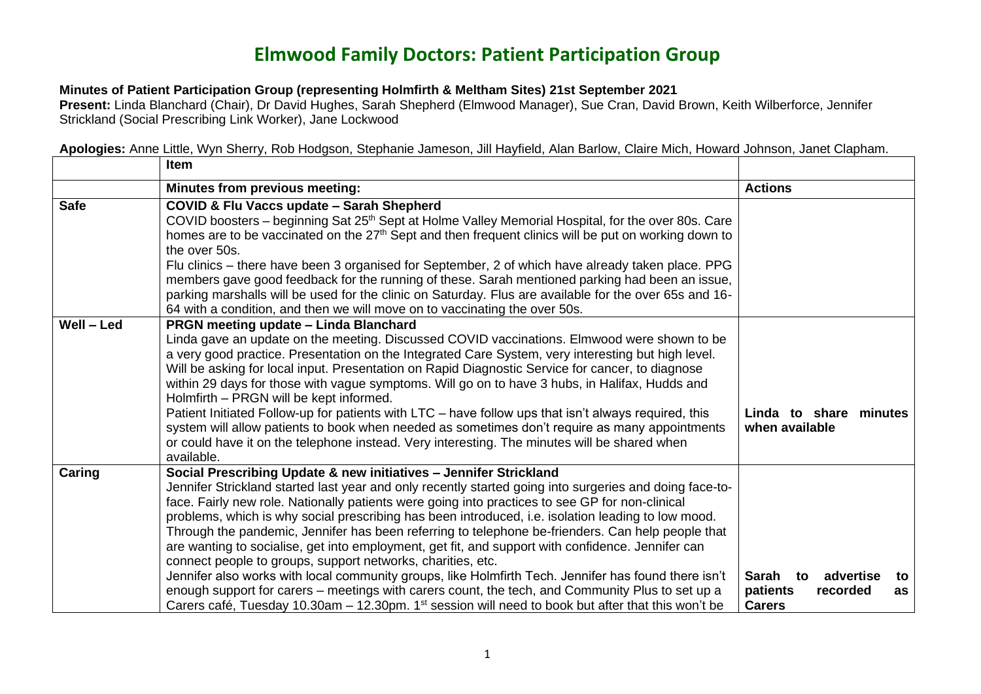## **Elmwood Family Doctors: Patient Participation Group**

## **Minutes of Patient Participation Group (representing Holmfirth & Meltham Sites) 21st September 2021**

**Present:** Linda Blanchard (Chair), Dr David Hughes, Sarah Shepherd (Elmwood Manager), Sue Cran, David Brown, Keith Wilberforce, Jennifer Strickland (Social Prescribing Link Worker), Jane Lockwood

**Apologies:** Anne Little, Wyn Sherry, Rob Hodgson, Stephanie Jameson, Jill Hayfield, Alan Barlow, Claire Mich, Howard Johnson, Janet Clapham.

|             | <b>Item</b>                                                                                                                                                                                                                                                                                                                                                                                                                                                                                                                                                                                                                                                                                                                                                                                                                                                                                                                                                                        |                                                                            |
|-------------|------------------------------------------------------------------------------------------------------------------------------------------------------------------------------------------------------------------------------------------------------------------------------------------------------------------------------------------------------------------------------------------------------------------------------------------------------------------------------------------------------------------------------------------------------------------------------------------------------------------------------------------------------------------------------------------------------------------------------------------------------------------------------------------------------------------------------------------------------------------------------------------------------------------------------------------------------------------------------------|----------------------------------------------------------------------------|
|             | Minutes from previous meeting:                                                                                                                                                                                                                                                                                                                                                                                                                                                                                                                                                                                                                                                                                                                                                                                                                                                                                                                                                     | <b>Actions</b>                                                             |
| <b>Safe</b> | COVID & Flu Vaccs update - Sarah Shepherd<br>COVID boosters – beginning Sat 25 <sup>th</sup> Sept at Holme Valley Memorial Hospital, for the over 80s. Care<br>homes are to be vaccinated on the 27 <sup>th</sup> Sept and then frequent clinics will be put on working down to<br>the over 50s.<br>Flu clinics – there have been 3 organised for September, 2 of which have already taken place. PPG<br>members gave good feedback for the running of these. Sarah mentioned parking had been an issue,<br>parking marshalls will be used for the clinic on Saturday. Flus are available for the over 65s and 16-<br>64 with a condition, and then we will move on to vaccinating the over 50s.                                                                                                                                                                                                                                                                                   |                                                                            |
| Well - Led  | PRGN meeting update - Linda Blanchard<br>Linda gave an update on the meeting. Discussed COVID vaccinations. Elmwood were shown to be<br>a very good practice. Presentation on the Integrated Care System, very interesting but high level.<br>Will be asking for local input. Presentation on Rapid Diagnostic Service for cancer, to diagnose<br>within 29 days for those with vague symptoms. Will go on to have 3 hubs, in Halifax, Hudds and<br>Holmfirth - PRGN will be kept informed.<br>Patient Initiated Follow-up for patients with LTC - have follow ups that isn't always required, this<br>system will allow patients to book when needed as sometimes don't require as many appointments<br>or could have it on the telephone instead. Very interesting. The minutes will be shared when<br>available.                                                                                                                                                                | Linda to share minutes<br>when available                                   |
| Caring      | Social Prescribing Update & new initiatives - Jennifer Strickland<br>Jennifer Strickland started last year and only recently started going into surgeries and doing face-to-<br>face. Fairly new role. Nationally patients were going into practices to see GP for non-clinical<br>problems, which is why social prescribing has been introduced, i.e. isolation leading to low mood.<br>Through the pandemic, Jennifer has been referring to telephone be-frienders. Can help people that<br>are wanting to socialise, get into employment, get fit, and support with confidence. Jennifer can<br>connect people to groups, support networks, charities, etc.<br>Jennifer also works with local community groups, like Holmfirth Tech. Jennifer has found there isn't<br>enough support for carers – meetings with carers count, the tech, and Community Plus to set up a<br>Carers café, Tuesday 10.30am – 12.30pm. $1st$ session will need to book but after that this won't be | advertise<br>Sarah to<br>to<br>patients<br>recorded<br>as<br><b>Carers</b> |